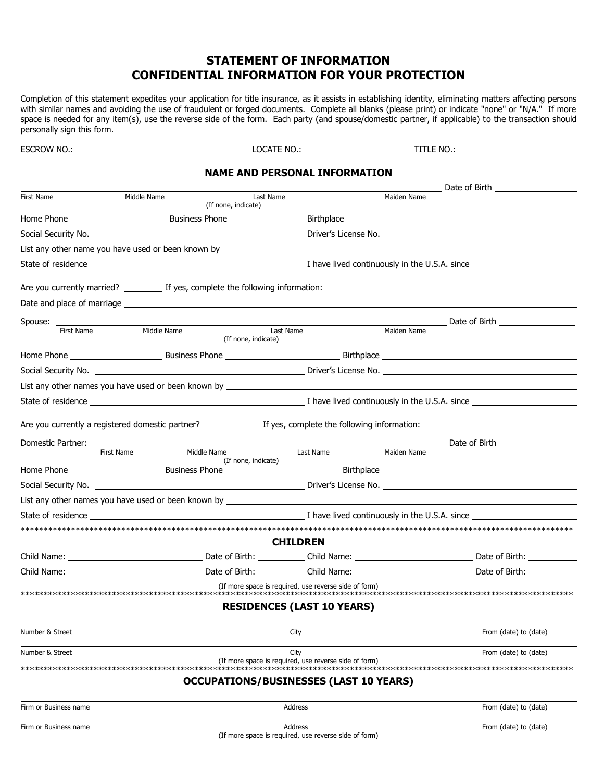## **STATEMENT OF INFORMATION CONFIDENTIAL INFORMATION FOR YOUR PROTECTION**

Completion of this statement expedites your application for title insurance, as it assists in establishing identity, eliminating matters affecting persons with similar names and avoiding the use of fraudulent or forged doc space is needed for any item(s), use the reverse side of the form. Each party (and spouse/domestic partner, if applicable) to the transaction should personally sign this form.

**ESCROW NO.:** 

LOCATE NO.:

TITI F NO:

## **NAME AND PERSONAL INFORMATION**

|                                               |                                                                                  |                                                       | Date of Birth         |  |  |
|-----------------------------------------------|----------------------------------------------------------------------------------|-------------------------------------------------------|-----------------------|--|--|
| First Name                                    | Middle Name<br>Last Name<br>(If none, indicate)                                  |                                                       | Maiden Name           |  |  |
|                                               |                                                                                  |                                                       |                       |  |  |
|                                               |                                                                                  |                                                       |                       |  |  |
|                                               |                                                                                  |                                                       |                       |  |  |
|                                               |                                                                                  |                                                       |                       |  |  |
|                                               | Are you currently married? If yes, complete the following information:           |                                                       |                       |  |  |
|                                               |                                                                                  |                                                       |                       |  |  |
| Spouse: ____________                          |                                                                                  |                                                       |                       |  |  |
| First Name                                    | Last Name<br>Middle Name<br>(If none, indicate)                                  |                                                       | Maiden Name           |  |  |
|                                               |                                                                                  |                                                       |                       |  |  |
|                                               |                                                                                  |                                                       |                       |  |  |
|                                               |                                                                                  |                                                       |                       |  |  |
|                                               |                                                                                  |                                                       |                       |  |  |
|                                               |                                                                                  |                                                       |                       |  |  |
|                                               |                                                                                  |                                                       |                       |  |  |
| Domestic Partner: ____________                | Middle Name<br>First Name                                                        |                                                       |                       |  |  |
|                                               | (If none, indicate)                                                              |                                                       |                       |  |  |
|                                               |                                                                                  |                                                       |                       |  |  |
|                                               |                                                                                  |                                                       |                       |  |  |
|                                               |                                                                                  |                                                       |                       |  |  |
|                                               |                                                                                  |                                                       |                       |  |  |
|                                               |                                                                                  | <b>CHILDREN</b>                                       |                       |  |  |
|                                               |                                                                                  |                                                       |                       |  |  |
|                                               | Child Name: Child Name: Date of Birth: Child Name: Date of Birth: Date of Birth: |                                                       |                       |  |  |
|                                               |                                                                                  | (If more space is required, use reverse side of form) |                       |  |  |
|                                               |                                                                                  | <b>RESIDENCES (LAST 10 YEARS)</b>                     |                       |  |  |
| Number & Street                               |                                                                                  | City                                                  | From (date) to (date) |  |  |
| Number & Street                               |                                                                                  | City                                                  | From (date) to (date) |  |  |
|                                               |                                                                                  | (If more space is required, use reverse side of form) |                       |  |  |
| <b>OCCUPATIONS/BUSINESSES (LAST 10 YEARS)</b> |                                                                                  |                                                       |                       |  |  |
| Firm or Business name                         |                                                                                  | Address                                               | From (date) to (date) |  |  |
|                                               |                                                                                  |                                                       |                       |  |  |

Firm or Business name

Address (If more space is required, use reverse side of form) From (date) to (date)